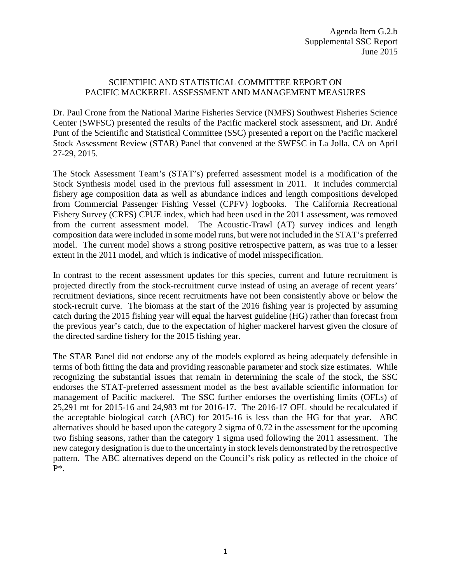## SCIENTIFIC AND STATISTICAL COMMITTEE REPORT ON PACIFIC MACKEREL ASSESSMENT AND MANAGEMENT MEASURES

Dr. Paul Crone from the National Marine Fisheries Service (NMFS) Southwest Fisheries Science Center (SWFSC) presented the results of the Pacific mackerel stock assessment, and Dr. André Punt of the Scientific and Statistical Committee (SSC) presented a report on the Pacific mackerel Stock Assessment Review (STAR) Panel that convened at the SWFSC in La Jolla, CA on April 27-29, 2015.

The Stock Assessment Team's (STAT's) preferred assessment model is a modification of the Stock Synthesis model used in the previous full assessment in 2011. It includes commercial fishery age composition data as well as abundance indices and length compositions developed from Commercial Passenger Fishing Vessel (CPFV) logbooks. The California Recreational Fishery Survey (CRFS) CPUE index, which had been used in the 2011 assessment, was removed from the current assessment model. The Acoustic-Trawl (AT) survey indices and length composition data were included in some model runs, but were not included in the STAT's preferred model. The current model shows a strong positive retrospective pattern, as was true to a lesser extent in the 2011 model, and which is indicative of model misspecification.

In contrast to the recent assessment updates for this species, current and future recruitment is projected directly from the stock-recruitment curve instead of using an average of recent years' recruitment deviations, since recent recruitments have not been consistently above or below the stock-recruit curve. The biomass at the start of the 2016 fishing year is projected by assuming catch during the 2015 fishing year will equal the harvest guideline (HG) rather than forecast from the previous year's catch, due to the expectation of higher mackerel harvest given the closure of the directed sardine fishery for the 2015 fishing year.

The STAR Panel did not endorse any of the models explored as being adequately defensible in terms of both fitting the data and providing reasonable parameter and stock size estimates. While recognizing the substantial issues that remain in determining the scale of the stock, the SSC endorses the STAT-preferred assessment model as the best available scientific information for management of Pacific mackerel. The SSC further endorses the overfishing limits (OFLs) of 25,291 mt for 2015-16 and 24,983 mt for 2016-17. The 2016-17 OFL should be recalculated if the acceptable biological catch (ABC) for 2015-16 is less than the HG for that year. ABC alternatives should be based upon the category 2 sigma of 0.72 in the assessment for the upcoming two fishing seasons, rather than the category 1 sigma used following the 2011 assessment. The new category designation is due to the uncertainty in stock levels demonstrated by the retrospective pattern. The ABC alternatives depend on the Council's risk policy as reflected in the choice of P\*.